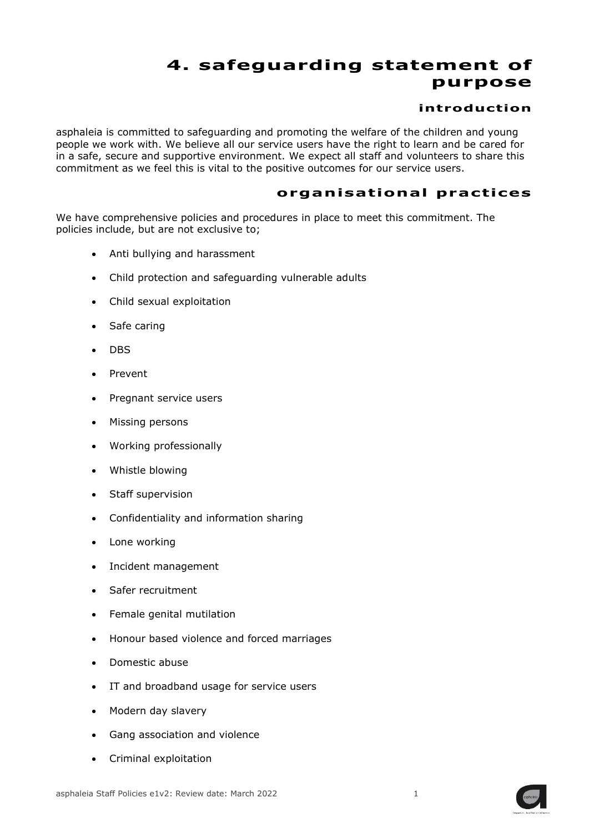## **4. safeguarding statement of purpose**

## **introduction**

asphaleia is committed to safeguarding and promoting the welfare of the children and young people we work with. We believe all our service users have the right to learn and be cared for in a safe, secure and supportive environment. We expect all staff and volunteers to share this commitment as we feel this is vital to the positive outcomes for our service users.

## **organ isat ional pract ices**

We have comprehensive policies and procedures in place to meet this commitment. The policies include, but are not exclusive to;

- Anti bullying and harassment
- Child protection and safeguarding vulnerable adults
- Child sexual exploitation
- Safe caring
- DBS
- Prevent
- Pregnant service users
- Missing persons
- Working professionally
- Whistle blowing
- Staff supervision
- Confidentiality and information sharing
- Lone working
- Incident management
- Safer recruitment
- Female genital mutilation
- Honour based violence and forced marriages
- Domestic abuse
- IT and broadband usage for service users
- Modern day slavery
- Gang association and violence
- Criminal exploitation

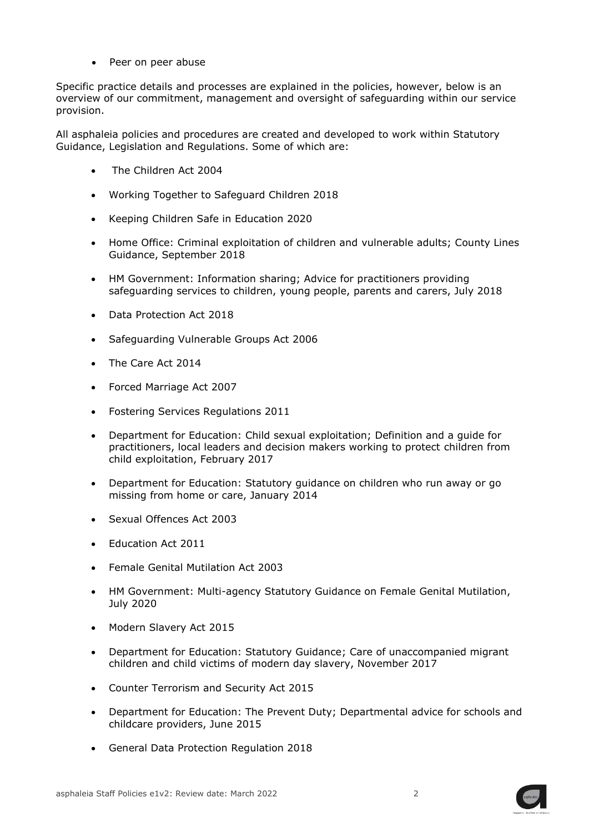• Peer on peer abuse

Specific practice details and processes are explained in the policies, however, below is an overview of our commitment, management and oversight of safeguarding within our service provision.

All asphaleia policies and procedures are created and developed to work within Statutory Guidance, Legislation and Regulations. Some of which are:

- The Children Act 2004
- Working Together to Safeguard Children 2018
- Keeping Children Safe in Education 2020
- Home Office: Criminal exploitation of children and vulnerable adults; County Lines Guidance, September 2018
- HM Government: Information sharing; Advice for practitioners providing safeguarding services to children, young people, parents and carers, July 2018
- Data Protection Act 2018
- Safeguarding Vulnerable Groups Act 2006
- The Care Act 2014
- Forced Marriage Act 2007
- Fostering Services Regulations 2011
- Department for Education: Child sexual exploitation; Definition and a guide for practitioners, local leaders and decision makers working to protect children from child exploitation, February 2017
- Department for Education: Statutory guidance on children who run away or go missing from home or care, January 2014
- Sexual Offences Act 2003
- Education Act 2011
- Female Genital Mutilation Act 2003
- HM Government: Multi-agency Statutory Guidance on Female Genital Mutilation, July 2020
- Modern Slavery Act 2015
- Department for Education: Statutory Guidance; Care of unaccompanied migrant children and child victims of modern day slavery, November 2017
- Counter Terrorism and Security Act 2015
- Department for Education: The Prevent Duty; Departmental advice for schools and childcare providers, June 2015
- General Data Protection Regulation 2018